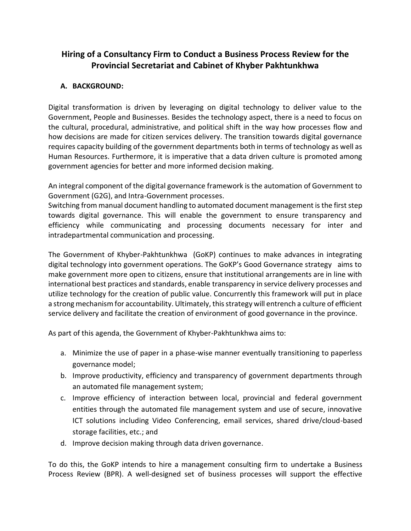# **Hiring of a Consultancy Firm to Conduct a Business Process Review for the Provincial Secretariat and Cabinet of Khyber Pakhtunkhwa**

## **A. BACKGROUND:**

Digital transformation is driven by leveraging on digital technology to deliver value to the Government, People and Businesses. Besides the technology aspect, there is a need to focus on the cultural, procedural, administrative, and political shift in the way how processes flow and how decisions are made for citizen services delivery. The transition towards digital governance requires capacity building of the government departments both in terms of technology as well as Human Resources. Furthermore, it is imperative that a data driven culture is promoted among government agencies for better and more informed decision making.

An integral component of the digital governance framework is the automation of Government to Government (G2G), and Intra-Government processes.

Switching from manual document handling to automated document management is the first step towards digital governance. This will enable the government to ensure transparency and efficiency while communicating and processing documents necessary for inter and intradepartmental communication and processing.

The Government of Khyber-Pakhtunkhwa (GoKP) continues to make advances in integrating digital technology into government operations. The GoKP's Good Governance strategy aims to make government more open to citizens, ensure that institutional arrangements are in line with international best practices and standards, enable transparency in service delivery processes and utilize technology for the creation of public value. Concurrently this framework will put in place a strong mechanism for accountability. Ultimately, this strategy will entrench a culture of efficient service delivery and facilitate the creation of environment of good governance in the province.

As part of this agenda, the Government of Khyber-Pakhtunkhwa aims to:

- a. Minimize the use of paper in a phase-wise manner eventually transitioning to paperless governance model;
- b. Improve productivity, efficiency and transparency of government departments through an automated file management system;
- c. Improve efficiency of interaction between local, provincial and federal government entities through the automated file management system and use of secure, innovative ICT solutions including Video Conferencing, email services, shared drive/cloud-based storage facilities, etc.; and
- d. Improve decision making through data driven governance.

To do this, the GoKP intends to hire a management consulting firm to undertake a Business Process Review (BPR). A well-designed set of business processes will support the effective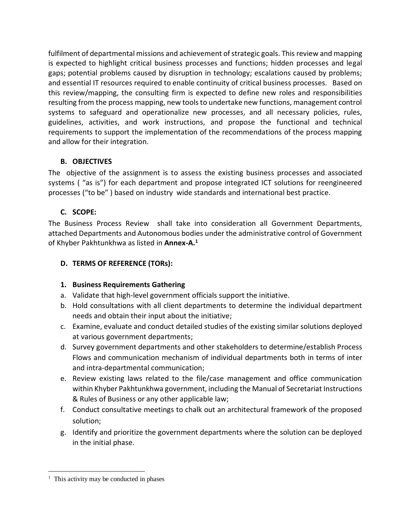fulfilment of departmental missions and achievement of strategic goals. This review and mapping is expected to highlight critical business processes and functions; hidden processes and legal gaps; potential problems caused by disruption in technology; escalations caused by problems; and essential IT resources required to enable continuity of critical business processes. Based on this review/mapping, the consulting firm is expected to define new roles and responsibilities resulting from the process mapping, new tools to undertake new functions, management control systems to safeguard and operationalize new processes, and all necessary policies, rules, guidelines, activities, and work instructions, and propose the functional and technical requirements to support the implementation of the recommendations of the process mapping and allow for their integration.

## **B. OBJECTIVES**

The objective of the assignment is to assess the existing business processes and associated systems ( "as is") for each department and propose integrated ICT solutions for reengineered processes ("to be" ) based on industry wide standards and international best practice.

# **C. SCOPE:**

The Business Process Review shall take into consideration all Government Departments, attached Departments and Autonomous bodies under the administrative control of Government of Khyber Pakhtunkhwa as listed in **Annex-A.<sup>1</sup>**

## **D. TERMS OF REFERENCE (TORs):**

# **1. Business Requirements Gathering**

- a. Validate that high-level government officials support the initiative.
- b. Hold consultations with all client departments to determine the individual department needs and obtain their input about the initiative;
- c. Examine, evaluate and conduct detailed studies of the existing similar solutions deployed at various government departments;
- d. Survey government departments and other stakeholders to determine/establish Process Flows and communication mechanism of individual departments both in terms of inter and intra-departmental communication;
- e. Review existing laws related to the file/case management and office communication within Khyber Pakhtunkhwa government, including the Manual of Secretariat Instructions & Rules of Business or any other applicable law;
- f. Conduct consultative meetings to chalk out an architectural framework of the proposed solution;
- g. Identify and prioritize the government departments where the solution can be deployed in the initial phase.

 $\overline{a}$ 

<sup>&</sup>lt;sup>1</sup> This activity may be conducted in phases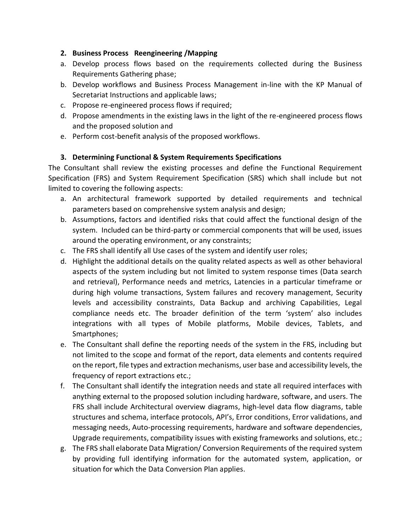### **2. Business Process Reengineering /Mapping**

- a. Develop process flows based on the requirements collected during the Business Requirements Gathering phase;
- b. Develop workflows and Business Process Management in-line with the KP Manual of Secretariat Instructions and applicable laws;
- c. Propose re-engineered process flows if required;
- d. Propose amendments in the existing laws in the light of the re-engineered process flows and the proposed solution and
- e. Perform cost-benefit analysis of the proposed workflows.

# **3. Determining Functional & System Requirements Specifications**

The Consultant shall review the existing processes and define the Functional Requirement Specification (FRS) and System Requirement Specification (SRS) which shall include but not limited to covering the following aspects:

- a. An architectural framework supported by detailed requirements and technical parameters based on comprehensive system analysis and design;
- b. Assumptions, factors and identified risks that could affect the functional design of the system. Included can be third-party or commercial components that will be used, issues around the operating environment, or any constraints;
- c. The FRS shall identify all Use cases of the system and identify user roles;
- d. Highlight the additional details on the quality related aspects as well as other behavioral aspects of the system including but not limited to system response times (Data search and retrieval), Performance needs and metrics, Latencies in a particular timeframe or during high volume transactions, System failures and recovery management, Security levels and accessibility constraints, Data Backup and archiving Capabilities, Legal compliance needs etc. The broader definition of the term 'system' also includes integrations with all types of Mobile platforms, Mobile devices, Tablets, and Smartphones;
- e. The Consultant shall define the reporting needs of the system in the FRS, including but not limited to the scope and format of the report, data elements and contents required on the report, file types and extraction mechanisms, user base and accessibility levels, the frequency of report extractions etc.;
- f. The Consultant shall identify the integration needs and state all required interfaces with anything external to the proposed solution including hardware, software, and users. The FRS shall include Architectural overview diagrams, high-level data flow diagrams, table structures and schema, interface protocols, API's, Error conditions, Error validations, and messaging needs, Auto-processing requirements, hardware and software dependencies, Upgrade requirements, compatibility issues with existing frameworks and solutions, etc.;
- g. The FRS shall elaborate Data Migration/ Conversion Requirements of the required system by providing full identifying information for the automated system, application, or situation for which the Data Conversion Plan applies.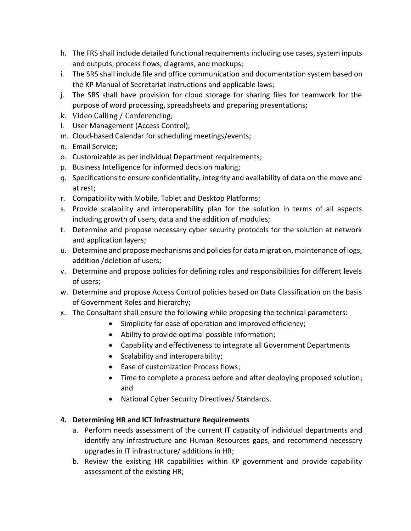- h. The FRS shall include detailed functional requirements including use cases, system inputs and outputs, process flows, diagrams, and mockups;
- i. The SRS shall include file and office communication and documentation system based on the KP Manual of Secretariat instructions and applicable laws;
- j. The SRS shall have provision for cloud storage for sharing files for teamwork for the purpose of word processing, spreadsheets and preparing presentations;
- k. Video Calling / Conferencing;
- l. User Management (Access Control);
- m. Cloud-based Calendar for scheduling meetings/events;
- n. Email Service;
- o. Customizable as per individual Department requirements;
- p. Business Intelligence for informed decision making;
- q. Specifications to ensure confidentiality, integrity and availability of data on the move and at rest;
- r. Compatibility with Mobile, Tablet and Desktop Platforms;
- s. Provide scalability and interoperability plan for the solution in terms of all aspects including growth of users, data and the addition of modules;
- t. Determine and propose necessary cyber security protocols for the solution at network and application layers;
- u. Determine and propose mechanisms and policies for data migration, maintenance of logs, addition /deletion of users;
- v. Determine and propose policies for defining roles and responsibilities for different levels of users;
- w. Determine and propose Access Control policies based on Data Classification on the basis of Government Roles and hierarchy;
- x. The Consultant shall ensure the following while proposing the technical parameters:
	- Simplicity for ease of operation and improved efficiency;
	- Ability to provide optimal possible information;
	- Capability and effectiveness to integrate all Government Departments
	- Scalability and interoperability;
	- Ease of customization Process flows;
	- Time to complete a process before and after deploying proposed solution; and
	- National Cyber Security Directives/ Standards.

# **4. Determining HR and ICT Infrastructure Requirements**

- a. Perform needs assessment of the current IT capacity of individual departments and identify any infrastructure and Human Resources gaps, and recommend necessary upgrades in IT infrastructure/ additions in HR;
- b. Review the existing HR capabilities within KP government and provide capability assessment of the existing HR;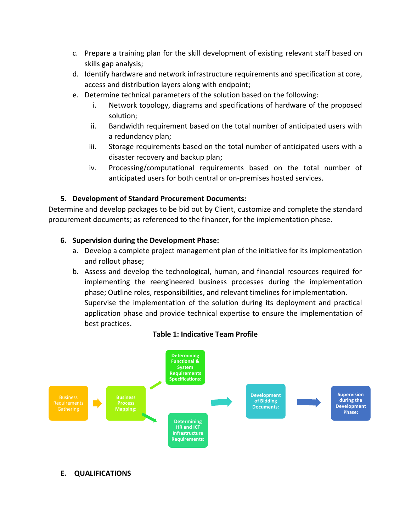- c. Prepare a training plan for the skill development of existing relevant staff based on skills gap analysis;
- d. Identify hardware and network infrastructure requirements and specification at core, access and distribution layers along with endpoint;
- e. Determine technical parameters of the solution based on the following:
	- i. Network topology, diagrams and specifications of hardware of the proposed solution;
	- ii. Bandwidth requirement based on the total number of anticipated users with a redundancy plan;
	- iii. Storage requirements based on the total number of anticipated users with a disaster recovery and backup plan;
	- iv. Processing/computational requirements based on the total number of anticipated users for both central or on-premises hosted services.

## **5. Development of Standard Procurement Documents:**

Determine and develop packages to be bid out by Client, customize and complete the standard procurement documents; as referenced to the financer, for the implementation phase.

### **6. Supervision during the Development Phase:**

- a. Develop a complete project management plan of the initiative for its implementation and rollout phase;
- b. Assess and develop the technological, human, and financial resources required for implementing the reengineered business processes during the implementation phase; Outline roles, responsibilities, and relevant timelines for implementation. Supervise the implementation of the solution during its deployment and practical application phase and provide technical expertise to ensure the implementation of best practices.

#### **Table 1: Indicative Team Profile**



### **E. QUALIFICATIONS**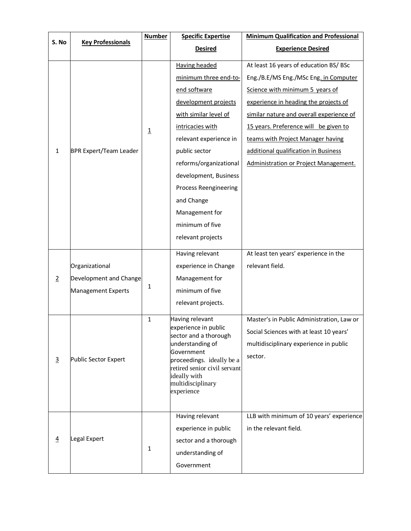| S. No          |                               | <b>Number</b>  | <b>Specific Expertise</b>                     | <b>Minimum Qualification and Professional</b> |
|----------------|-------------------------------|----------------|-----------------------------------------------|-----------------------------------------------|
|                | <b>Key Professionals</b>      |                | <b>Desired</b>                                | <b>Experience Desired</b>                     |
|                |                               |                | <b>Having headed</b>                          | At least 16 years of education BS/ BSc        |
|                |                               |                | minimum three end-to-                         | Eng./B.E/MS Eng./MSc Eng. in Computer         |
|                | <b>BPR Expert/Team Leader</b> | $\overline{1}$ | end software                                  | Science with minimum 5 years of               |
|                |                               |                | development projects                          | experience in heading the projects of         |
|                |                               |                | with similar level of                         | similar nature and overall experience of      |
|                |                               |                | intricacies with                              | 15 years. Preference will be given to         |
|                |                               |                | relevant experience in                        | teams with Project Manager having             |
| $\mathbf{1}$   |                               |                | public sector                                 | additional qualification in Business          |
|                |                               |                | reforms/organizational                        | <b>Administration or Project Management.</b>  |
|                |                               |                | development, Business                         |                                               |
|                |                               |                | <b>Process Reengineering</b>                  |                                               |
|                |                               |                | and Change                                    |                                               |
|                |                               |                | Management for                                |                                               |
|                |                               |                | minimum of five                               |                                               |
|                |                               |                | relevant projects                             |                                               |
|                |                               |                | Having relevant                               | At least ten years' experience in the         |
|                | Organizational                |                | experience in Change                          | relevant field.                               |
| $\overline{2}$ | Development and Change        |                | Management for                                |                                               |
|                | Management Experts            | 1              | minimum of five                               |                                               |
|                |                               |                | relevant projects.                            |                                               |
|                |                               | $\mathbf{1}$   | Having relevant                               | Master's in Public Administration, Law or     |
|                |                               |                | experience in public<br>sector and a thorough | Social Sciences with at least 10 years'       |
|                |                               |                | understanding of                              | multidisciplinary experience in public        |
| $\overline{3}$ | Public Sector Expert          |                | Government<br>proceedings. ideally be a       | sector.                                       |
|                |                               |                | retired senior civil servant                  |                                               |
|                |                               |                | ideally with<br>multidisciplinary             |                                               |
|                |                               |                | experience                                    |                                               |
|                |                               |                |                                               |                                               |
|                |                               |                | Having relevant                               | LLB with minimum of 10 years' experience      |
| $\overline{4}$ | Legal Expert                  |                | experience in public                          | in the relevant field.                        |
|                |                               | 1              | sector and a thorough                         |                                               |
|                |                               |                | understanding of                              |                                               |
|                |                               |                | Government                                    |                                               |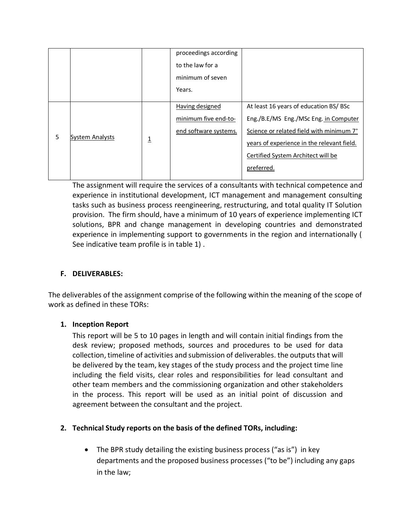|   |                        |                         | proceedings according |                                                      |
|---|------------------------|-------------------------|-----------------------|------------------------------------------------------|
|   |                        |                         | to the law for a      |                                                      |
|   |                        |                         | minimum of seven      |                                                      |
|   |                        |                         | Years.                |                                                      |
| 5 | <b>System Analysts</b> | $\overline{\mathsf{I}}$ | Having designed       | At least 16 years of education BS/ BSc               |
|   |                        |                         | minimum five end-to-  | Eng./B.E/MS Eng./MSc Eng. in Computer                |
|   |                        |                         | end software systems. | Science or related field with minimum 7 <sup>+</sup> |
|   |                        |                         |                       | years of experience in the relevant field.           |
|   |                        |                         |                       | Certified System Architect will be                   |
|   |                        |                         |                       | preferred.                                           |

The assignment will require the services of a consultants with technical competence and experience in institutional development, ICT management and management consulting tasks such as business process reengineering, restructuring, and total quality IT Solution provision. The firm should, have a minimum of 10 years of experience implementing ICT solutions, BPR and change management in developing countries and demonstrated experience in implementing support to governments in the region and internationally ( See indicative team profile is in table 1) .

### **F. DELIVERABLES:**

The deliverables of the assignment comprise of the following within the meaning of the scope of work as defined in these TORs:

# **1. Inception Report**

This report will be 5 to 10 pages in length and will contain initial findings from the desk review; proposed methods, sources and procedures to be used for data collection, timeline of activities and submission of deliverables. the outputs that will be delivered by the team, key stages of the study process and the project time line including the field visits, clear roles and responsibilities for lead consultant and other team members and the commissioning organization and other stakeholders in the process. This report will be used as an initial point of discussion and agreement between the consultant and the project.

# **2. Technical Study reports on the basis of the defined TORs, including:**

• The BPR study detailing the existing business process ("as is") in key departments and the proposed business processes ("to be") including any gaps in the law;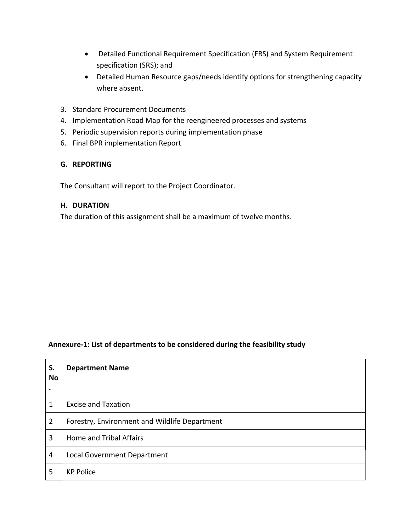- Detailed Functional Requirement Specification (FRS) and System Requirement specification (SRS); and
- Detailed Human Resource gaps/needs identify options for strengthening capacity where absent.
- 3. Standard Procurement Documents
- 4. Implementation Road Map for the reengineered processes and systems
- 5. Periodic supervision reports during implementation phase
- 6. Final BPR implementation Report

#### **G. REPORTING**

The Consultant will report to the Project Coordinator.

#### **H. DURATION**

The duration of this assignment shall be a maximum of twelve months.

#### **Annexure-1: List of departments to be considered during the feasibility study**

| S.<br><b>No</b> | <b>Department Name</b>                        |
|-----------------|-----------------------------------------------|
| 1               | <b>Excise and Taxation</b>                    |
| $\overline{2}$  | Forestry, Environment and Wildlife Department |
| 3               | <b>Home and Tribal Affairs</b>                |
| 4               | Local Government Department                   |
| 5               | <b>KP Police</b>                              |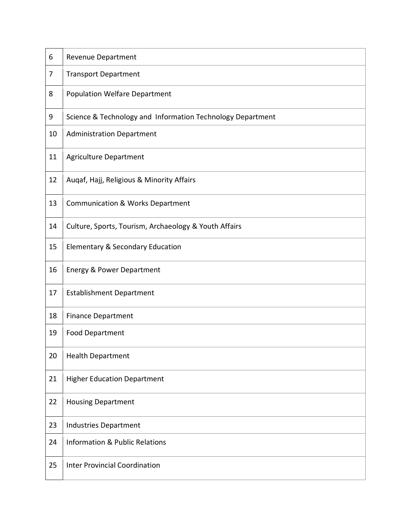| 6              | <b>Revenue Department</b>                                  |  |  |  |
|----------------|------------------------------------------------------------|--|--|--|
| $\overline{7}$ | <b>Transport Department</b>                                |  |  |  |
| 8              | <b>Population Welfare Department</b>                       |  |  |  |
| 9              | Science & Technology and Information Technology Department |  |  |  |
| 10             | <b>Administration Department</b>                           |  |  |  |
| 11             | <b>Agriculture Department</b>                              |  |  |  |
| 12             | Augaf, Hajj, Religious & Minority Affairs                  |  |  |  |
| 13             | <b>Communication &amp; Works Department</b>                |  |  |  |
| 14             | Culture, Sports, Tourism, Archaeology & Youth Affairs      |  |  |  |
| 15             | Elementary & Secondary Education                           |  |  |  |
| 16             | <b>Energy &amp; Power Department</b>                       |  |  |  |
| 17             | <b>Establishment Department</b>                            |  |  |  |
| 18             | <b>Finance Department</b>                                  |  |  |  |
| 19             | <b>Food Department</b>                                     |  |  |  |
| 20             | <b>Health Department</b>                                   |  |  |  |
| 21             | <b>Higher Education Department</b>                         |  |  |  |
| 22             | <b>Housing Department</b>                                  |  |  |  |
| 23             | <b>Industries Department</b>                               |  |  |  |
| 24             | <b>Information &amp; Public Relations</b>                  |  |  |  |
| 25             | <b>Inter Provincial Coordination</b>                       |  |  |  |